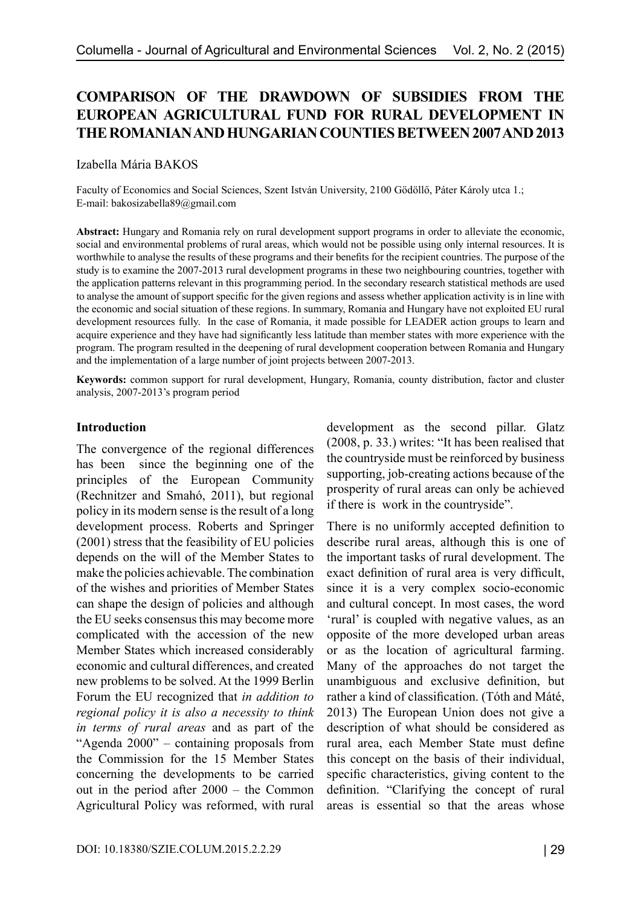# **COMPARISON OF THE DRAWDOWN OF SUBSIDIES FROM THE EUROPEAN AGRICULTURAL FUND FOR RURAL DEVELOPMENT IN THE ROMANIAN AND HUNGARIAN COUNTIES BETWEEN 2007 AND 2013**

Izabella Mária BAKOS

Faculty of Economics and Social Sciences, Szent István University, 2100 Gödöllő, Páter Károly utca 1.; E-mail: bakosizabella89@gmail.com

**Abstract:** Hungary and Romania rely on rural development support programs in order to alleviate the economic, social and environmental problems of rural areas, which would not be possible using only internal resources. It is worthwhile to analyse the results of these programs and their benefits for the recipient countries. The purpose of the study is to examine the 2007-2013 rural development programs in these two neighbouring countries, together with the application patterns relevant in this programming period. In the secondary research statistical methods are used to analyse the amount of support specific for the given regions and assess whether application activity is in line with the economic and social situation of these regions. In summary, Romania and Hungary have not exploited EU rural development resources fully. In the case of Romania, it made possible for LEADER action groups to learn and acquire experience and they have had significantly less latitude than member states with more experience with the program. The program resulted in the deepening of rural development cooperation between Romania and Hungary and the implementation of a large number of joint projects between 2007-2013.

**Keywords:** common support for rural development, Hungary, Romania, county distribution, factor and cluster analysis, 2007-2013's program period

#### **Introduction**

The convergence of the regional differences has been since the beginning one of the principles of the European Community (Rechnitzer and Smahó, 2011), but regional policy in its modern sense is the result of a long development process. Roberts and Springer (2001) stress that the feasibility of EU policies depends on the will of the Member States to make the policies achievable. The combination of the wishes and priorities of Member States can shape the design of policies and although the EU seeks consensus this may become more complicated with the accession of the new Member States which increased considerably economic and cultural differences, and created new problems to be solved. At the 1999 Berlin Forum the EU recognized that *in addition to regional policy it is also a necessity to think in terms of rural areas* and as part of the "Agenda 2000" – containing proposals from the Commission for the 15 Member States concerning the developments to be carried out in the period after 2000 – the Common Agricultural Policy was reformed, with rural development as the second pillar. Glatz (2008, p. 33.) writes: "It has been realised that the countryside must be reinforced by business supporting, job-creating actions because of the prosperity of rural areas can only be achieved if there is work in the countryside".

There is no uniformly accepted definition to describe rural areas, although this is one of the important tasks of rural development. The exact definition of rural area is very difficult, since it is a very complex socio-economic and cultural concept. In most cases, the word 'rural' is coupled with negative values, as an opposite of the more developed urban areas or as the location of agricultural farming. Many of the approaches do not target the unambiguous and exclusive definition, but rather a kind of classification. (Tóth and Máté, 2013) The European Union does not give a description of what should be considered as rural area, each Member State must define this concept on the basis of their individual, specific characteristics, giving content to the definition. "Clarifying the concept of rural areas is essential so that the areas whose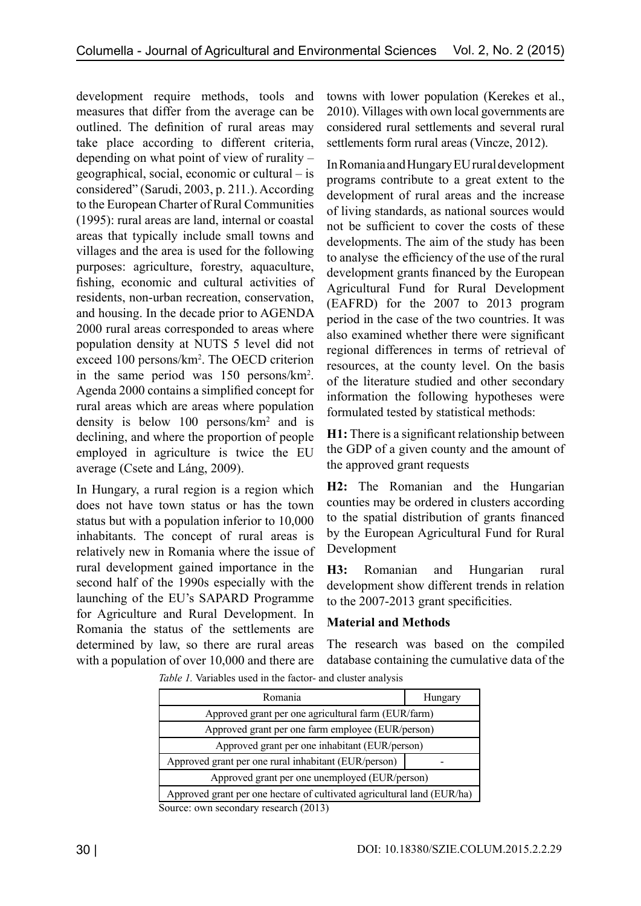development require methods, tools and measures that differ from the average can be outlined. The definition of rural areas may take place according to different criteria, depending on what point of view of rurality – geographical, social, economic or cultural – is considered" (Sarudi, 2003, p. 211.). According to the European Charter of Rural Communities (1995): rural areas are land, internal or coastal areas that typically include small towns and villages and the area is used for the following purposes: agriculture, forestry, aquaculture, fishing, economic and cultural activities of residents, non-urban recreation, conservation, and housing. In the decade prior to AGENDA 2000 rural areas corresponded to areas where population density at NUTS 5 level did not exceed 100 persons/km<sup>2</sup> . The OECD criterion in the same period was 150 persons/km<sup>2</sup> . Agenda 2000 contains a simplified concept for rural areas which are areas where population density is below 100 persons/km<sup>2</sup> and is declining, and where the proportion of people employed in agriculture is twice the EU average (Csete and Láng, 2009).

In Hungary, a rural region is a region which does not have town status or has the town status but with a population inferior to 10,000 inhabitants. The concept of rural areas is relatively new in Romania where the issue of rural development gained importance in the second half of the 1990s especially with the launching of the EU's SAPARD Programme for Agriculture and Rural Development. In Romania the status of the settlements are determined by law, so there are rural areas with a population of over 10,000 and there are

towns with lower population (Kerekes et al., 2010). Villages with own local governments are considered rural settlements and several rural settlements form rural areas (Vincze, 2012).

In Romania and Hungary EU rural development programs contribute to a great extent to the development of rural areas and the increase of living standards, as national sources would not be sufficient to cover the costs of these developments. The aim of the study has been to analyse the efficiency of the use of the rural development grants financed by the European Agricultural Fund for Rural Development (EAFRD) for the 2007 to 2013 program period in the case of the two countries. It was also examined whether there were significant regional differences in terms of retrieval of resources, at the county level. On the basis of the literature studied and other secondary information the following hypotheses were formulated tested by statistical methods:

**H1:** There is a significant relationship between the GDP of a given county and the amount of the approved grant requests

**H2:** The Romanian and the Hungarian counties may be ordered in clusters according to the spatial distribution of grants financed by the European Agricultural Fund for Rural Development

**H3:** Romanian and Hungarian rural development show different trends in relation to the 2007-2013 grant specificities.

## **Material and Methods**

The research was based on the compiled database containing the cumulative data of the

*Table 1.* Variables used in the factor- and cluster analysis

| Romania                                                                 | Hungary |  |
|-------------------------------------------------------------------------|---------|--|
| Approved grant per one agricultural farm (EUR/farm)                     |         |  |
| Approved grant per one farm employee (EUR/person)                       |         |  |
| Approved grant per one inhabitant (EUR/person)                          |         |  |
| Approved grant per one rural inhabitant (EUR/person)                    |         |  |
| Approved grant per one unemployed (EUR/person)                          |         |  |
| Approved grant per one hectare of cultivated agricultural land (EUR/ha) |         |  |
| $\sim$ $\sim$ $\sim$ $\sim$ $\sim$                                      |         |  |

Source: own secondary research (2013)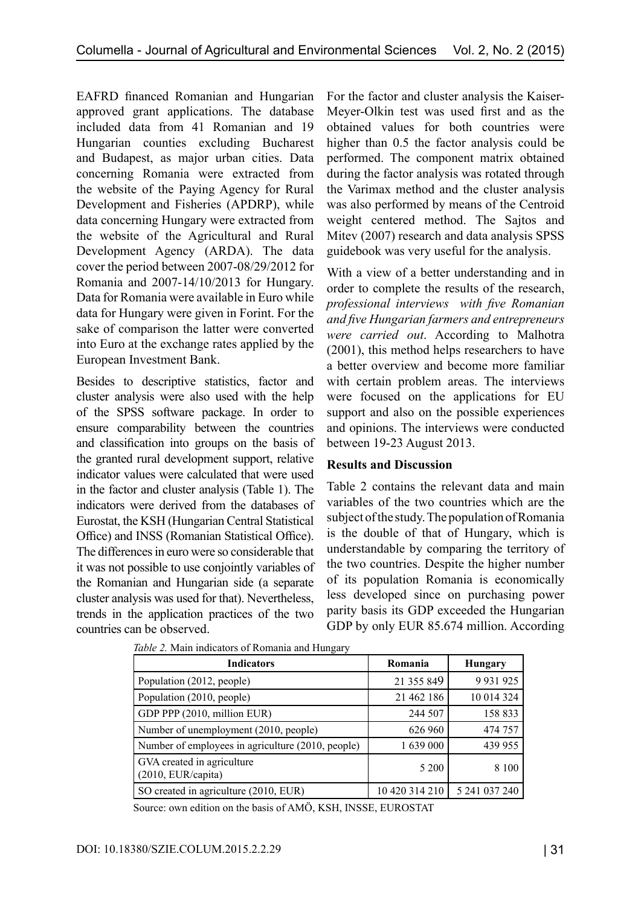EAFRD financed Romanian and Hungarian approved grant applications. The database included data from 41 Romanian and 19 Hungarian counties excluding Bucharest and Budapest, as major urban cities. Data concerning Romania were extracted from the website of the Paying Agency for Rural Development and Fisheries (APDRP), while data concerning Hungary were extracted from the website of the Agricultural and Rural Development Agency (ARDA). The data cover the period between 2007-08/29/2012 for Romania and 2007-14/10/2013 for Hungary. Data for Romania were available in Euro while data for Hungary were given in Forint. For the sake of comparison the latter were converted into Euro at the exchange rates applied by the European Investment Bank.

Besides to descriptive statistics, factor and cluster analysis were also used with the help of the SPSS software package. In order to ensure comparability between the countries and classification into groups on the basis of the granted rural development support, relative indicator values were calculated that were used in the factor and cluster analysis (Table 1). The indicators were derived from the databases of Eurostat, the KSH (Hungarian Central Statistical Office) and INSS (Romanian Statistical Office). The differences in euro were so considerable that it was not possible to use conjointly variables of the Romanian and Hungarian side (a separate cluster analysis was used for that). Nevertheless, trends in the application practices of the two countries can be observed.

For the factor and cluster analysis the Kaiser-Meyer-Olkin test was used first and as the obtained values for both countries were higher than 0.5 the factor analysis could be performed. The component matrix obtained during the factor analysis was rotated through the Varimax method and the cluster analysis was also performed by means of the Centroid weight centered method. The Sajtos and Mitev (2007) research and data analysis SPSS guidebook was very useful for the analysis.

With a view of a better understanding and in order to complete the results of the research, *professional interviews with five Romanian and five Hungarian farmers and entrepreneurs were carried out*. According to Malhotra (2001), this method helps researchers to have a better overview and become more familiar with certain problem areas. The interviews were focused on the applications for EU support and also on the possible experiences and opinions. The interviews were conducted between 19-23 August 2013.

#### **Results and Discussion**

Table 2 contains the relevant data and main variables of the two countries which are the subject of the study. The population of Romania is the double of that of Hungary, which is understandable by comparing the territory of the two countries. Despite the higher number of its population Romania is economically less developed since on purchasing power parity basis its GDP exceeded the Hungarian GDP by only EUR 85.674 million. According

| <b>Indicators</b>                                 | Romania        | <b>Hungary</b> |  |
|---------------------------------------------------|----------------|----------------|--|
| Population (2012, people)                         | 21 355 849     | 9 9 3 1 9 2 5  |  |
| Population (2010, people)                         | 21 462 186     | 10 014 324     |  |
| GDP PPP (2010, million EUR)                       | 244 507        | 158 833        |  |
| Number of unemployment (2010, people)             | 626 960        | 474 757        |  |
| Number of employees in agriculture (2010, people) | 1 639 000      | 439 955        |  |
| GVA created in agriculture<br>(2010, EUR/capita)  | 5 200          | 8 1 0 0        |  |
| SO created in agriculture (2010, EUR)             | 10 420 314 210 | 5 241 037 240  |  |

|  |  |  | Table 2. Main indicators of Romania and Hungary |
|--|--|--|-------------------------------------------------|
|--|--|--|-------------------------------------------------|

Source: own edition on the basis of AMÖ, KSH, INSSE, EUROSTAT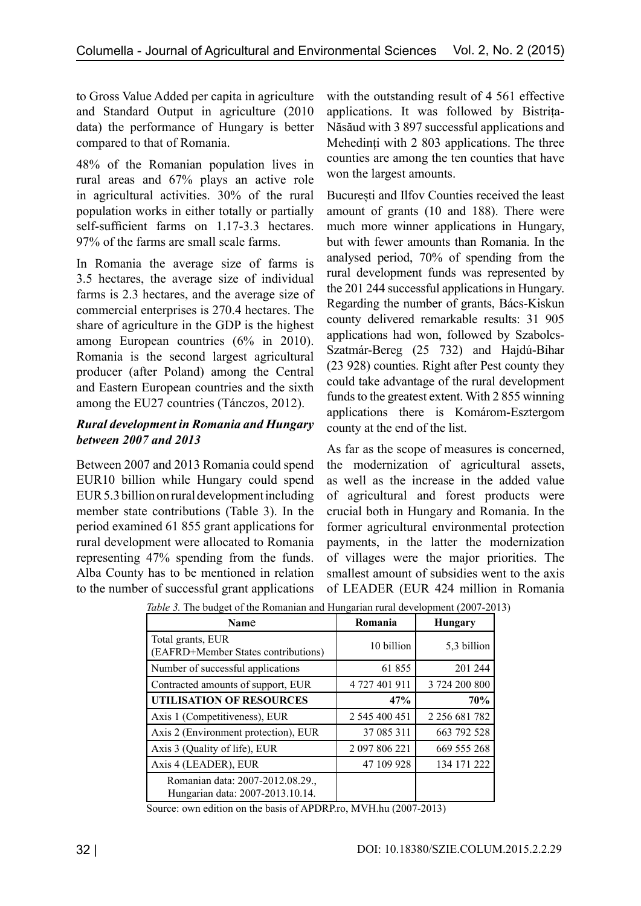to Gross Value Added per capita in agriculture and Standard Output in agriculture (2010 data) the performance of Hungary is better compared to that of Romania.

48% of the Romanian population lives in rural areas and 67% plays an active role in agricultural activities. 30% of the rural population works in either totally or partially self-sufficient farms on 1.17-3.3 hectares. 97% of the farms are small scale farms.

In Romania the average size of farms is 3.5 hectares, the average size of individual farms is 2.3 hectares, and the average size of commercial enterprises is 270.4 hectares. The share of agriculture in the GDP is the highest among European countries (6% in 2010). Romania is the second largest agricultural producer (after Poland) among the Central and Eastern European countries and the sixth among the EU27 countries (Tánczos, 2012).

### *Rural development in Romania and Hungary between 2007 and 2013*

Between 2007 and 2013 Romania could spend EUR10 billion while Hungary could spend EUR 5.3 billion on rural development including member state contributions (Table 3). In the period examined 61 855 grant applications for rural development were allocated to Romania representing 47% spending from the funds. Alba County has to be mentioned in relation to the number of successful grant applications with the outstanding result of 4 561 effective applications. It was followed by Bistrița-Năsăud with 3 897 successful applications and Mehedinți with 2 803 applications. The three counties are among the ten counties that have won the largest amounts.

București and Ilfov Counties received the least amount of grants (10 and 188). There were much more winner applications in Hungary, but with fewer amounts than Romania. In the analysed period, 70% of spending from the rural development funds was represented by the 201 244 successful applications in Hungary. Regarding the number of grants, Bács-Kiskun county delivered remarkable results: 31 905 applications had won, followed by Szabolcs-Szatmár-Bereg (25 732) and Hajdú-Bihar (23 928) counties. Right after Pest county they could take advantage of the rural development funds to the greatest extent. With 2 855 winning applications there is Komárom-Esztergom county at the end of the list.

As far as the scope of measures is concerned, the modernization of agricultural assets, as well as the increase in the added value of agricultural and forest products were crucial both in Hungary and Romania. In the former agricultural environmental protection payments, in the latter the modernization of villages were the major priorities. The smallest amount of subsidies went to the axis of LEADER (EUR 424 million in Romania

| Name                                                                 | Romania       | <b>Hungary</b>      |
|----------------------------------------------------------------------|---------------|---------------------|
| Total grants, EUR<br>(EAFRD+Member States contributions)             | 10 billion    | 5,3 billion         |
| Number of successful applications                                    | 61 855        | 201 244             |
| Contracted amounts of support, EUR                                   | 4 727 401 911 | 3 724 200 800       |
| <b>UTILISATION OF RESOURCES</b>                                      | 47%           | 70%                 |
| Axis 1 (Competitiveness), EUR                                        | 2 545 400 451 | 2 2 5 6 6 8 1 7 8 2 |
| Axis 2 (Environment protection), EUR                                 | 37 085 311    | 663 792 528         |
| Axis 3 (Quality of life), EUR                                        | 2 097 806 221 | 669 555 268         |
| Axis 4 (LEADER), EUR                                                 | 47 109 928    | 134 171 222         |
| Romanian data: 2007-2012.08.29.,<br>Hungarian data: 2007-2013.10.14. |               |                     |

*Table 3.* The budget of the Romanian and Hungarian rural development (2007-2013)

Source: own edition on the basis of APDRP.ro, MVH.hu (2007-2013)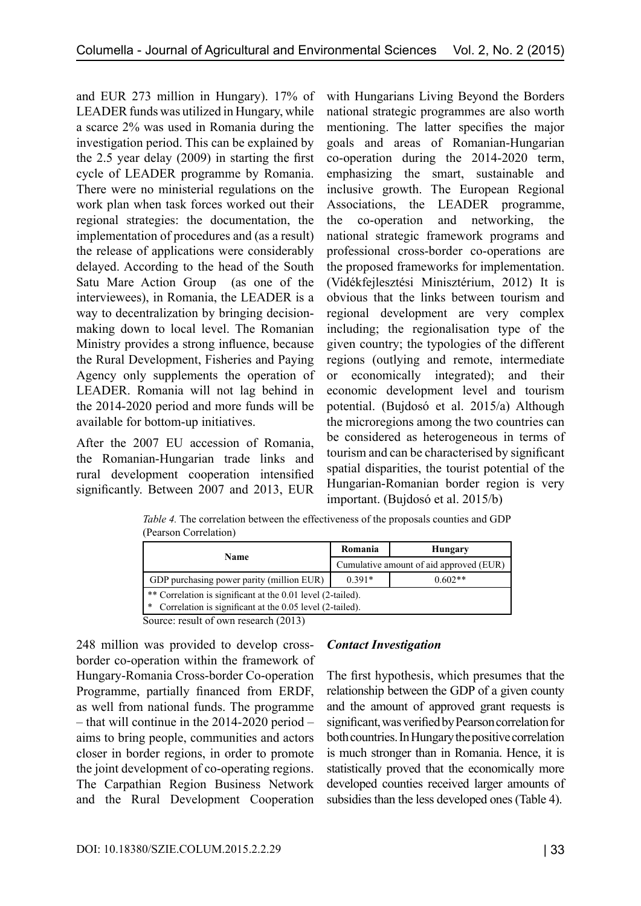and EUR 273 million in Hungary). 17% of LEADER funds was utilized in Hungary, while a scarce 2% was used in Romania during the investigation period. This can be explained by the 2.5 year delay (2009) in starting the first cycle of LEADER programme by Romania. There were no ministerial regulations on the work plan when task forces worked out their regional strategies: the documentation, the implementation of procedures and (as a result) the release of applications were considerably delayed. According to the head of the South Satu Mare Action Group (as one of the interviewees), in Romania, the LEADER is a way to decentralization by bringing decisionmaking down to local level. The Romanian Ministry provides a strong influence, because the Rural Development, Fisheries and Paying Agency only supplements the operation of LEADER. Romania will not lag behind in the 2014-2020 period and more funds will be available for bottom-up initiatives.

After the 2007 EU accession of Romania, the Romanian-Hungarian trade links and rural development cooperation intensified significantly. Between 2007 and 2013, EUR with Hungarians Living Beyond the Borders national strategic programmes are also worth mentioning. The latter specifies the major goals and areas of Romanian-Hungarian co-operation during the 2014-2020 term, emphasizing the smart, sustainable and inclusive growth. The European Regional Associations, the LEADER programme, the co-operation and networking, the national strategic framework programs and professional cross-border co-operations are the proposed frameworks for implementation. (Vidékfejlesztési Minisztérium, 2012) It is obvious that the links between tourism and regional development are very complex including; the regionalisation type of the given country; the typologies of the different regions (outlying and remote, intermediate or economically integrated); and their economic development level and tourism potential. (Bujdosó et al. 2015/a) Although the microregions among the two countries can be considered as heterogeneous in terms of tourism and can be characterised by significant spatial disparities, the tourist potential of the Hungarian-Romanian border region is very important. (Bujdosó et al. 2015/b)

| (Pearson Correlation)                                           |                                         |           |
|-----------------------------------------------------------------|-----------------------------------------|-----------|
| <b>Name</b>                                                     | Romania                                 | Hungary   |
|                                                                 | Cumulative amount of aid approved (EUR) |           |
| GDP purchasing power parity (million EUR)                       | $0.391*$                                | $0.602**$ |
| $\ast$ Correlation is significant at the 0.01 level (2-tailed). |                                         |           |

*Table 4.* The correlation between the effectiveness of the proposals counties and GDP

Source: result of own research (2013)

Correlation is significant at the 0.05 level (2-tailed).

248 million was provided to develop crossborder co-operation within the framework of Hungary-Romania Cross-border Co-operation Programme, partially financed from ERDF, as well from national funds. The programme – that will continue in the 2014-2020 period – aims to bring people, communities and actors closer in border regions, in order to promote the joint development of co-operating regions. The Carpathian Region Business Network and the Rural Development Cooperation

#### *Contact Investigation*

The first hypothesis, which presumes that the relationship between the GDP of a given county and the amount of approved grant requests is significant, was verified by Pearson correlation for both countries. In Hungary the positive correlation is much stronger than in Romania. Hence, it is statistically proved that the economically more developed counties received larger amounts of subsidies than the less developed ones (Table 4).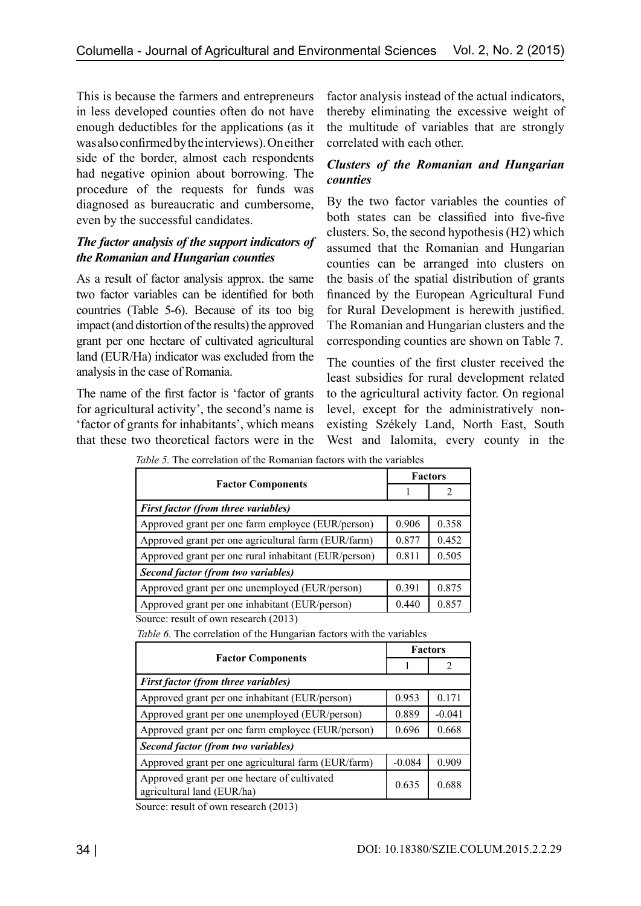This is because the farmers and entrepreneurs in less developed counties often do not have enough deductibles for the applications (as it was also confirmed by the interviews). On either side of the border, almost each respondents had negative opinion about borrowing. The procedure of the requests for funds was diagnosed as bureaucratic and cumbersome, even by the successful candidates.

### *The factor analysis of the support indicators of the Romanian and Hungarian counties*

As a result of factor analysis approx. the same two factor variables can be identified for both countries (Table 5-6). Because of its too big impact (and distortion of the results) the approved grant per one hectare of cultivated agricultural land (EUR/Ha) indicator was excluded from the analysis in the case of Romania.

The name of the first factor is 'factor of grants for agricultural activity', the second's name is 'factor of grants for inhabitants', which means that these two theoretical factors were in the factor analysis instead of the actual indicators, thereby eliminating the excessive weight of the multitude of variables that are strongly correlated with each other.

## *Clusters of the Romanian and Hungarian counties*

By the two factor variables the counties of both states can be classified into five-five clusters. So, the second hypothesis (H2) which assumed that the Romanian and Hungarian counties can be arranged into clusters on the basis of the spatial distribution of grants financed by the European Agricultural Fund for Rural Development is herewith justified. The Romanian and Hungarian clusters and the corresponding counties are shown on Table 7.

The counties of the first cluster received the least subsidies for rural development related to the agricultural activity factor. On regional level, except for the administratively nonexisting Székely Land, North East, South West and Ialomita, every county in the

*Table 5.* The correlation of the Romanian factors with the variables

| <b>Factor Components</b>                             |       | <b>Factors</b> |  |
|------------------------------------------------------|-------|----------------|--|
|                                                      |       |                |  |
| <b>First factor (from three variables)</b>           |       |                |  |
| Approved grant per one farm employee (EUR/person)    | 0.906 | 0.358          |  |
| Approved grant per one agricultural farm (EUR/farm)  | 0.877 | 0.452          |  |
| Approved grant per one rural inhabitant (EUR/person) | 0.811 | 0.505          |  |
| Second factor (from two variables)                   |       |                |  |
| Approved grant per one unemployed (EUR/person)       | 0.391 | 0.875          |  |
| Approved grant per one inhabitant (EUR/person)       | 0.440 | 0.857          |  |
| Source: result of own research (2013)                |       |                |  |

| <b>Factor Components</b>                                                   |          | <b>Factors</b> |  |
|----------------------------------------------------------------------------|----------|----------------|--|
|                                                                            |          |                |  |
| <b>First factor (from three variables)</b>                                 |          |                |  |
| Approved grant per one inhabitant (EUR/person)                             | 0.953    | 0.171          |  |
| Approved grant per one unemployed (EUR/person)                             | 0.889    | $-0.041$       |  |
| Approved grant per one farm employee (EUR/person)                          | 0.696    | 0.668          |  |
| Second factor (from two variables)                                         |          |                |  |
| Approved grant per one agricultural farm (EUR/farm)                        | $-0.084$ | 0.909          |  |
| Approved grant per one hectare of cultivated<br>agricultural land (EUR/ha) | 0.635    | 0.688          |  |

*Table 6.* The correlation of the Hungarian factors with the variables

Source: result of own research (2013)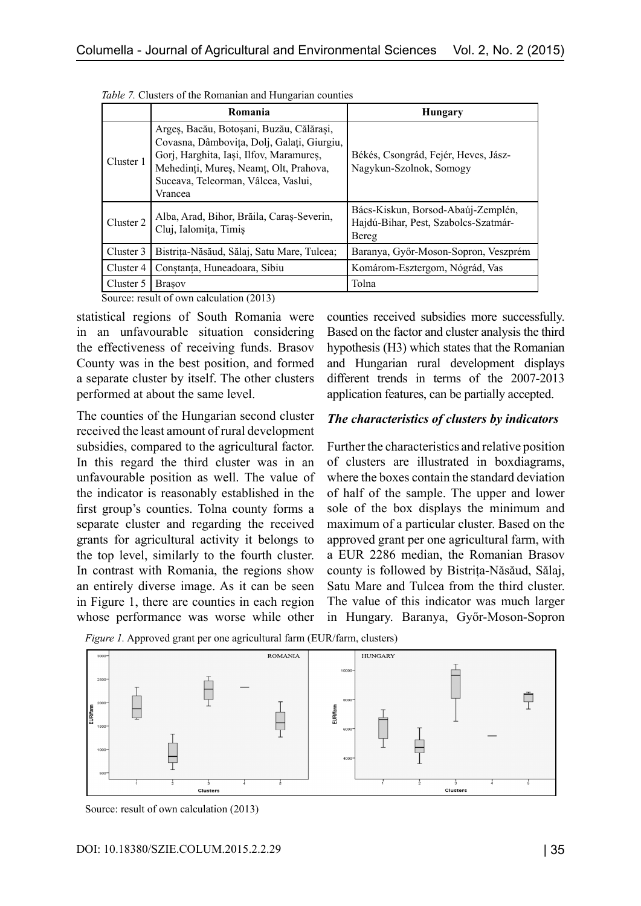|           | Romania                                                                                                                                                                                                                       | <b>Hungary</b>                                                                      |
|-----------|-------------------------------------------------------------------------------------------------------------------------------------------------------------------------------------------------------------------------------|-------------------------------------------------------------------------------------|
| Cluster 1 | Argeș, Bacău, Botoșani, Buzău, Călărași,<br>Covasna, Dâmbovița, Dolj, Galați, Giurgiu,<br>Gorj, Harghita, Iași, Ilfov, Maramureș,<br>Mehedinți, Mureș, Neamț, Olt, Prahova,<br>Suceava, Teleorman, Vâlcea, Vaslui,<br>Vrancea | Békés, Csongrád, Fejér, Heves, Jász-<br>Nagykun-Szolnok, Somogy                     |
| Cluster 2 | Alba, Arad, Bihor, Brăila, Caraș-Severin,<br>Cluj, Ialomita, Timis                                                                                                                                                            | Bács-Kiskun, Borsod-Abaúj-Zemplén,<br>Hajdú-Bihar, Pest, Szabolcs-Szatmár-<br>Bereg |
| Cluster 3 | Bistrița-Năsăud, Sălaj, Satu Mare, Tulcea;                                                                                                                                                                                    | Baranya, Győr-Moson-Sopron, Veszprém                                                |
| Cluster 4 | Constanța, Huneadoara, Sibiu                                                                                                                                                                                                  | Komárom-Esztergom, Nógrád, Vas                                                      |
| Cluster 5 | <b>Brasov</b>                                                                                                                                                                                                                 | Tolna                                                                               |

*Table 7.* Clusters of the Romanian and Hungarian counties

Source: result of own calculation (2013)

statistical regions of South Romania were in an unfavourable situation considering the effectiveness of receiving funds. Brasov County was in the best position, and formed a separate cluster by itself. The other clusters performed at about the same level.

The counties of the Hungarian second cluster received the least amount of rural development subsidies, compared to the agricultural factor. In this regard the third cluster was in an unfavourable position as well. The value of the indicator is reasonably established in the first group's counties. Tolna county forms a separate cluster and regarding the received grants for agricultural activity it belongs to the top level, similarly to the fourth cluster. In contrast with Romania, the regions show an entirely diverse image. As it can be seen in Figure 1, there are counties in each region whose performance was worse while other

counties received subsidies more successfully. Based on the factor and cluster analysis the third hypothesis (H3) which states that the Romanian and Hungarian rural development displays different trends in terms of the 2007-2013 application features, can be partially accepted.

#### *The characteristics of clusters by indicators*

Further the characteristics and relative position of clusters are illustrated in boxdiagrams, where the boxes contain the standard deviation of half of the sample. The upper and lower sole of the box displays the minimum and maximum of a particular cluster. Based on the approved grant per one agricultural farm, with a EUR 2286 median, the Romanian Brasov county is followed by Bistrița-Năsăud, Sălaj, Satu Mare and Tulcea from the third cluster. The value of this indicator was much larger in Hungary. Baranya, Győr-Moson-Sopron





Source: result of own calculation (2013)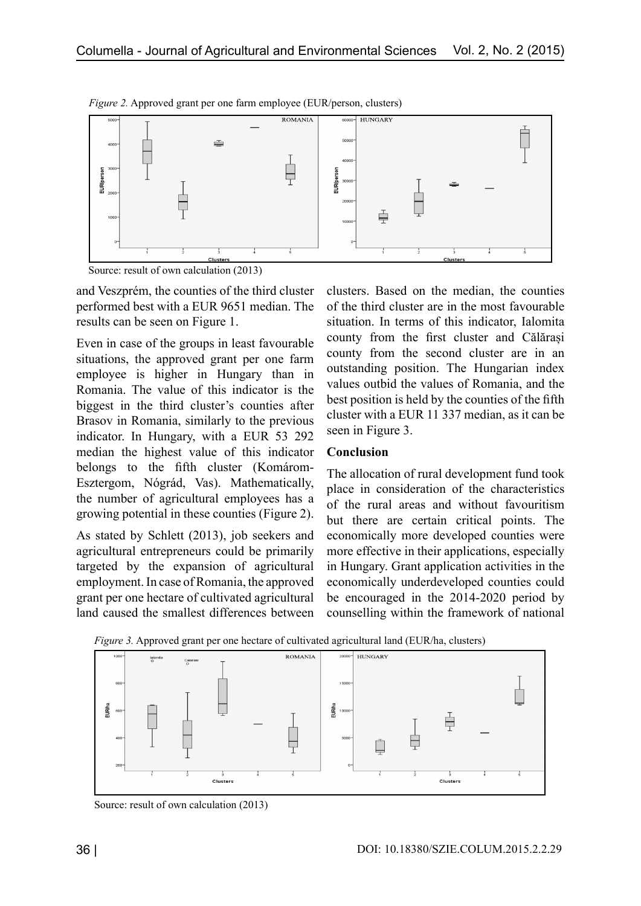

*Figure 2.* Approved grant per one farm employee (EUR/person, clusters)

Source: result of own calculation (2013)

and Veszprém, the counties of the third cluster performed best with a EUR 9651 median. The results can be seen on Figure 1.

Even in case of the groups in least favourable situations, the approved grant per one farm employee is higher in Hungary than in Romania. The value of this indicator is the biggest in the third cluster's counties after Brasov in Romania, similarly to the previous indicator. In Hungary, with a EUR 53 292 median the highest value of this indicator belongs to the fifth cluster (Komárom-Esztergom, Nógrád, Vas). Mathematically, the number of agricultural employees has a growing potential in these counties (Figure 2).

As stated by Schlett (2013), job seekers and agricultural entrepreneurs could be primarily targeted by the expansion of agricultural employment. In case of Romania, the approved grant per one hectare of cultivated agricultural land caused the smallest differences between clusters. Based on the median, the counties of the third cluster are in the most favourable situation. In terms of this indicator, Ialomita county from the first cluster and Călărași county from the second cluster are in an outstanding position. The Hungarian index values outbid the values of Romania, and the best position is held by the counties of the fifth cluster with a EUR 11 337 median, as it can be seen in Figure 3.

#### **Conclusion**

The allocation of rural development fund took place in consideration of the characteristics of the rural areas and without favouritism but there are certain critical points. The economically more developed counties were more effective in their applications, especially in Hungary. Grant application activities in the economically underdeveloped counties could be encouraged in the 2014-2020 period by counselling within the framework of national





Source: result of own calculation (2013)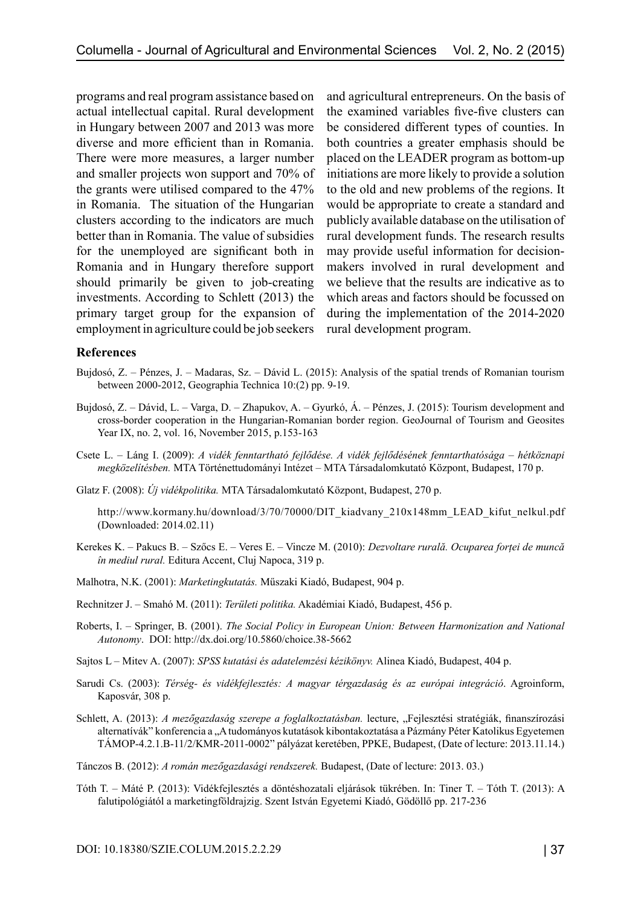programs and real program assistance based on actual intellectual capital. Rural development in Hungary between 2007 and 2013 was more diverse and more efficient than in Romania. There were more measures, a larger number and smaller projects won support and 70% of the grants were utilised compared to the 47% in Romania. The situation of the Hungarian clusters according to the indicators are much better than in Romania. The value of subsidies for the unemployed are significant both in Romania and in Hungary therefore support should primarily be given to job-creating investments. According to Schlett (2013) the primary target group for the expansion of employment in agriculture could be job seekers

and agricultural entrepreneurs. On the basis of the examined variables five-five clusters can be considered different types of counties. In both countries a greater emphasis should be placed on the LEADER program as bottom-up initiations are more likely to provide a solution to the old and new problems of the regions. It would be appropriate to create a standard and publicly available database on the utilisation of rural development funds. The research results may provide useful information for decisionmakers involved in rural development and we believe that the results are indicative as to which areas and factors should be focussed on during the implementation of the 2014-2020 rural development program.

#### **References**

- Bujdosó, Z. Pénzes, J. Madaras, Sz. Dávid L. (2015): Analysis of the spatial trends of Romanian tourism between 2000-2012, Geographia Technica 10:(2) pp. 9-19.
- Bujdosó, Z. Dávid, L. Varga, D. Zhapukov, A. Gyurkó, Á. Pénzes, J. (2015): Tourism development and cross-border cooperation in the Hungarian-Romanian border region. GeoJournal of Tourism and Geosites Year IX, no. 2, vol. 16, November 2015, p.153-163
- Csete L. Láng I. (2009): *A vidék fenntartható fejlődése. A vidék fejlődésének fenntarthatósága hétköznapi megközelítésben.* MTA Történettudományi Intézet – MTA Társadalomkutató Központ, Budapest, 170 p.
- Glatz F. (2008): *Új vidékpolitika.* MTA Társadalomkutató Központ, Budapest, 270 p.

http://www.kormany.hu/download/3/70/70000/DIT\_kiadvany\_210x148mm\_LEAD\_kifut\_nelkul.pdf (Downloaded: 2014.02.11)

- Kerekes K. Pakucs B. Szőcs E. Veres E. Vincze M. (2010): *Dezvoltare rurală. Ocuparea forței de muncă în mediul rural.* Editura Accent, Cluj Napoca, 319 p.
- Malhotra, N.K. (2001): *Marketingkutatás.* Műszaki Kiadó, Budapest, 904 p.
- Rechnitzer J. Smahó M. (2011): *Területi politika.* Akadémiai Kiadó, Budapest, 456 p.
- Roberts, I. Springer, B. (2001). *The Social Policy in European Union: Between Harmonization and National Autonomy*. DOI: http://dx.doi.org/10.5860/choice.38-5662
- Sajtos L Mitev A. (2007): *SPSS kutatási és adatelemzési kézikönyv.* Alinea Kiadó, Budapest, 404 p.
- Sarudi Cs. (2003): *Térség- és vidékfejlesztés: A magyar térgazdaság és az európai integráció*. Agroinform, Kaposvár, 308 p.
- Schlett, A. (2013): *A mezőgazdaság szerepe a foglalkoztatásban*. lecture, "Fejlesztési stratégiák, finanszírozási alternatívák" konferencia a "A tudományos kutatások kibontakoztatása a Pázmány Péter Katolikus Egyetemen TÁMOP-4.2.1.B-11/2/KMR-2011-0002" pályázat keretében, PPKE, Budapest, (Date of lecture: 2013.11.14.)
- Tánczos B. (2012): *A román mezőgazdasági rendszerek.* Budapest, (Date of lecture: 2013. 03.)
- Tóth T. Máté P. (2013): Vidékfejlesztés a döntéshozatali eljárások tükrében. In: Tiner T. Tóth T. (2013): A falutipológiától a marketingföldrajzig. Szent István Egyetemi Kiadó, Gödöllő pp. 217-236